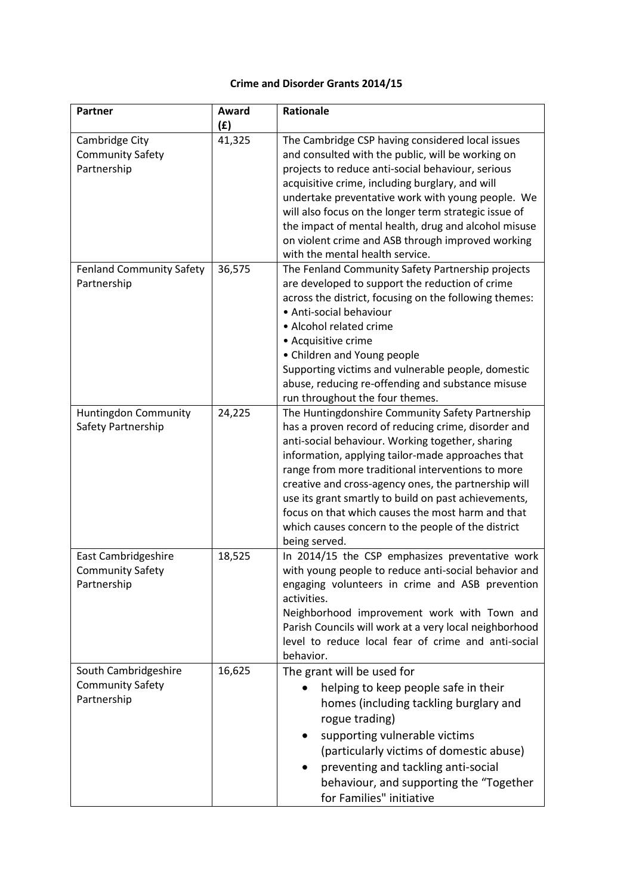## **Crime and Disorder Grants 2014/15**

| <b>Partner</b>                                                 | Award  | Rationale                                                                                                                                                                                                                                                                                                                                                                                                                                                                                                         |
|----------------------------------------------------------------|--------|-------------------------------------------------------------------------------------------------------------------------------------------------------------------------------------------------------------------------------------------------------------------------------------------------------------------------------------------------------------------------------------------------------------------------------------------------------------------------------------------------------------------|
|                                                                | (E)    |                                                                                                                                                                                                                                                                                                                                                                                                                                                                                                                   |
| Cambridge City<br><b>Community Safety</b><br>Partnership       | 41,325 | The Cambridge CSP having considered local issues<br>and consulted with the public, will be working on<br>projects to reduce anti-social behaviour, serious<br>acquisitive crime, including burglary, and will<br>undertake preventative work with young people. We<br>will also focus on the longer term strategic issue of<br>the impact of mental health, drug and alcohol misuse<br>on violent crime and ASB through improved working<br>with the mental health service.                                       |
| <b>Fenland Community Safety</b><br>Partnership                 | 36,575 | The Fenland Community Safety Partnership projects<br>are developed to support the reduction of crime<br>across the district, focusing on the following themes:<br>• Anti-social behaviour<br>• Alcohol related crime<br>• Acquisitive crime<br>• Children and Young people<br>Supporting victims and vulnerable people, domestic<br>abuse, reducing re-offending and substance misuse<br>run throughout the four themes.                                                                                          |
| Huntingdon Community<br>Safety Partnership                     | 24,225 | The Huntingdonshire Community Safety Partnership<br>has a proven record of reducing crime, disorder and<br>anti-social behaviour. Working together, sharing<br>information, applying tailor-made approaches that<br>range from more traditional interventions to more<br>creative and cross-agency ones, the partnership will<br>use its grant smartly to build on past achievements,<br>focus on that which causes the most harm and that<br>which causes concern to the people of the district<br>being served. |
| East Cambridgeshire<br><b>Community Safety</b><br>Partnership  | 18,525 | In 2014/15 the CSP emphasizes preventative work<br>with young people to reduce anti-social behavior and<br>engaging volunteers in crime and ASB prevention<br>activities.<br>Neighborhood improvement work with Town and<br>Parish Councils will work at a very local neighborhood<br>level to reduce local fear of crime and anti-social<br>behavior.                                                                                                                                                            |
| South Cambridgeshire<br><b>Community Safety</b><br>Partnership | 16,625 | The grant will be used for<br>helping to keep people safe in their<br>homes (including tackling burglary and<br>rogue trading)<br>supporting vulnerable victims<br>$\bullet$<br>(particularly victims of domestic abuse)<br>preventing and tackling anti-social<br>$\bullet$<br>behaviour, and supporting the "Together<br>for Families" initiative                                                                                                                                                               |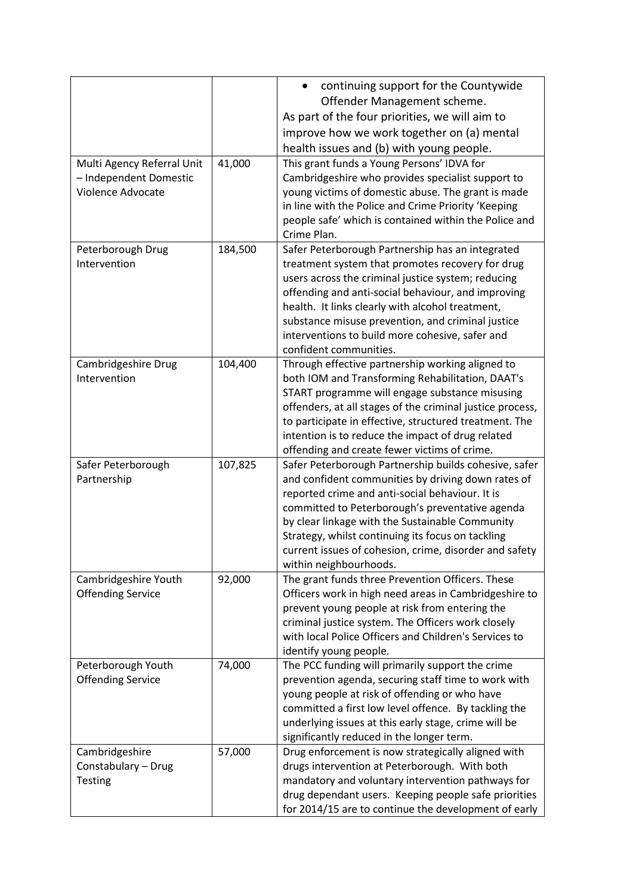| Offender Management scheme.<br>As part of the four priorities, we will aim to<br>improve how we work together on (a) mental<br>health issues and (b) with young people.<br>41,000<br>This grant funds a Young Persons' IDVA for<br>Multi Agency Referral Unit<br>- Independent Domestic<br>Cambridgeshire who provides specialist support to<br>Violence Advocate<br>young victims of domestic abuse. The grant is made<br>in line with the Police and Crime Priority 'Keeping<br>people safe' which is contained within the Police and<br>Crime Plan.<br>Safer Peterborough Partnership has an integrated<br>184,500<br>Peterborough Drug<br>Intervention<br>treatment system that promotes recovery for drug<br>users across the criminal justice system; reducing<br>offending and anti-social behaviour, and improving<br>health. It links clearly with alcohol treatment,<br>substance misuse prevention, and criminal justice<br>interventions to build more cohesive, safer and<br>confident communities.<br>104,400<br>Cambridgeshire Drug<br>Through effective partnership working aligned to<br>Intervention<br>both IOM and Transforming Rehabilitation, DAAT's<br>START programme will engage substance misusing<br>offenders, at all stages of the criminal justice process,<br>to participate in effective, structured treatment. The<br>intention is to reduce the impact of drug related<br>offending and create fewer victims of crime.<br>107,825<br>Safer Peterborough<br>Safer Peterborough Partnership builds cohesive, safer<br>and confident communities by driving down rates of<br>Partnership<br>reported crime and anti-social behaviour. It is<br>committed to Peterborough's preventative agenda |  | continuing support for the Countywide<br>$\bullet$ |
|-------------------------------------------------------------------------------------------------------------------------------------------------------------------------------------------------------------------------------------------------------------------------------------------------------------------------------------------------------------------------------------------------------------------------------------------------------------------------------------------------------------------------------------------------------------------------------------------------------------------------------------------------------------------------------------------------------------------------------------------------------------------------------------------------------------------------------------------------------------------------------------------------------------------------------------------------------------------------------------------------------------------------------------------------------------------------------------------------------------------------------------------------------------------------------------------------------------------------------------------------------------------------------------------------------------------------------------------------------------------------------------------------------------------------------------------------------------------------------------------------------------------------------------------------------------------------------------------------------------------------------------------------------------------------------------------------------------------------------|--|----------------------------------------------------|
|                                                                                                                                                                                                                                                                                                                                                                                                                                                                                                                                                                                                                                                                                                                                                                                                                                                                                                                                                                                                                                                                                                                                                                                                                                                                                                                                                                                                                                                                                                                                                                                                                                                                                                                               |  |                                                    |
|                                                                                                                                                                                                                                                                                                                                                                                                                                                                                                                                                                                                                                                                                                                                                                                                                                                                                                                                                                                                                                                                                                                                                                                                                                                                                                                                                                                                                                                                                                                                                                                                                                                                                                                               |  |                                                    |
|                                                                                                                                                                                                                                                                                                                                                                                                                                                                                                                                                                                                                                                                                                                                                                                                                                                                                                                                                                                                                                                                                                                                                                                                                                                                                                                                                                                                                                                                                                                                                                                                                                                                                                                               |  |                                                    |
|                                                                                                                                                                                                                                                                                                                                                                                                                                                                                                                                                                                                                                                                                                                                                                                                                                                                                                                                                                                                                                                                                                                                                                                                                                                                                                                                                                                                                                                                                                                                                                                                                                                                                                                               |  |                                                    |
|                                                                                                                                                                                                                                                                                                                                                                                                                                                                                                                                                                                                                                                                                                                                                                                                                                                                                                                                                                                                                                                                                                                                                                                                                                                                                                                                                                                                                                                                                                                                                                                                                                                                                                                               |  |                                                    |
|                                                                                                                                                                                                                                                                                                                                                                                                                                                                                                                                                                                                                                                                                                                                                                                                                                                                                                                                                                                                                                                                                                                                                                                                                                                                                                                                                                                                                                                                                                                                                                                                                                                                                                                               |  |                                                    |
|                                                                                                                                                                                                                                                                                                                                                                                                                                                                                                                                                                                                                                                                                                                                                                                                                                                                                                                                                                                                                                                                                                                                                                                                                                                                                                                                                                                                                                                                                                                                                                                                                                                                                                                               |  |                                                    |
|                                                                                                                                                                                                                                                                                                                                                                                                                                                                                                                                                                                                                                                                                                                                                                                                                                                                                                                                                                                                                                                                                                                                                                                                                                                                                                                                                                                                                                                                                                                                                                                                                                                                                                                               |  |                                                    |
|                                                                                                                                                                                                                                                                                                                                                                                                                                                                                                                                                                                                                                                                                                                                                                                                                                                                                                                                                                                                                                                                                                                                                                                                                                                                                                                                                                                                                                                                                                                                                                                                                                                                                                                               |  |                                                    |
|                                                                                                                                                                                                                                                                                                                                                                                                                                                                                                                                                                                                                                                                                                                                                                                                                                                                                                                                                                                                                                                                                                                                                                                                                                                                                                                                                                                                                                                                                                                                                                                                                                                                                                                               |  |                                                    |
|                                                                                                                                                                                                                                                                                                                                                                                                                                                                                                                                                                                                                                                                                                                                                                                                                                                                                                                                                                                                                                                                                                                                                                                                                                                                                                                                                                                                                                                                                                                                                                                                                                                                                                                               |  |                                                    |
|                                                                                                                                                                                                                                                                                                                                                                                                                                                                                                                                                                                                                                                                                                                                                                                                                                                                                                                                                                                                                                                                                                                                                                                                                                                                                                                                                                                                                                                                                                                                                                                                                                                                                                                               |  |                                                    |
|                                                                                                                                                                                                                                                                                                                                                                                                                                                                                                                                                                                                                                                                                                                                                                                                                                                                                                                                                                                                                                                                                                                                                                                                                                                                                                                                                                                                                                                                                                                                                                                                                                                                                                                               |  |                                                    |
|                                                                                                                                                                                                                                                                                                                                                                                                                                                                                                                                                                                                                                                                                                                                                                                                                                                                                                                                                                                                                                                                                                                                                                                                                                                                                                                                                                                                                                                                                                                                                                                                                                                                                                                               |  |                                                    |
|                                                                                                                                                                                                                                                                                                                                                                                                                                                                                                                                                                                                                                                                                                                                                                                                                                                                                                                                                                                                                                                                                                                                                                                                                                                                                                                                                                                                                                                                                                                                                                                                                                                                                                                               |  |                                                    |
|                                                                                                                                                                                                                                                                                                                                                                                                                                                                                                                                                                                                                                                                                                                                                                                                                                                                                                                                                                                                                                                                                                                                                                                                                                                                                                                                                                                                                                                                                                                                                                                                                                                                                                                               |  |                                                    |
|                                                                                                                                                                                                                                                                                                                                                                                                                                                                                                                                                                                                                                                                                                                                                                                                                                                                                                                                                                                                                                                                                                                                                                                                                                                                                                                                                                                                                                                                                                                                                                                                                                                                                                                               |  |                                                    |
|                                                                                                                                                                                                                                                                                                                                                                                                                                                                                                                                                                                                                                                                                                                                                                                                                                                                                                                                                                                                                                                                                                                                                                                                                                                                                                                                                                                                                                                                                                                                                                                                                                                                                                                               |  |                                                    |
|                                                                                                                                                                                                                                                                                                                                                                                                                                                                                                                                                                                                                                                                                                                                                                                                                                                                                                                                                                                                                                                                                                                                                                                                                                                                                                                                                                                                                                                                                                                                                                                                                                                                                                                               |  |                                                    |
|                                                                                                                                                                                                                                                                                                                                                                                                                                                                                                                                                                                                                                                                                                                                                                                                                                                                                                                                                                                                                                                                                                                                                                                                                                                                                                                                                                                                                                                                                                                                                                                                                                                                                                                               |  |                                                    |
|                                                                                                                                                                                                                                                                                                                                                                                                                                                                                                                                                                                                                                                                                                                                                                                                                                                                                                                                                                                                                                                                                                                                                                                                                                                                                                                                                                                                                                                                                                                                                                                                                                                                                                                               |  |                                                    |
|                                                                                                                                                                                                                                                                                                                                                                                                                                                                                                                                                                                                                                                                                                                                                                                                                                                                                                                                                                                                                                                                                                                                                                                                                                                                                                                                                                                                                                                                                                                                                                                                                                                                                                                               |  |                                                    |
|                                                                                                                                                                                                                                                                                                                                                                                                                                                                                                                                                                                                                                                                                                                                                                                                                                                                                                                                                                                                                                                                                                                                                                                                                                                                                                                                                                                                                                                                                                                                                                                                                                                                                                                               |  |                                                    |
|                                                                                                                                                                                                                                                                                                                                                                                                                                                                                                                                                                                                                                                                                                                                                                                                                                                                                                                                                                                                                                                                                                                                                                                                                                                                                                                                                                                                                                                                                                                                                                                                                                                                                                                               |  |                                                    |
|                                                                                                                                                                                                                                                                                                                                                                                                                                                                                                                                                                                                                                                                                                                                                                                                                                                                                                                                                                                                                                                                                                                                                                                                                                                                                                                                                                                                                                                                                                                                                                                                                                                                                                                               |  |                                                    |
|                                                                                                                                                                                                                                                                                                                                                                                                                                                                                                                                                                                                                                                                                                                                                                                                                                                                                                                                                                                                                                                                                                                                                                                                                                                                                                                                                                                                                                                                                                                                                                                                                                                                                                                               |  |                                                    |
|                                                                                                                                                                                                                                                                                                                                                                                                                                                                                                                                                                                                                                                                                                                                                                                                                                                                                                                                                                                                                                                                                                                                                                                                                                                                                                                                                                                                                                                                                                                                                                                                                                                                                                                               |  |                                                    |
|                                                                                                                                                                                                                                                                                                                                                                                                                                                                                                                                                                                                                                                                                                                                                                                                                                                                                                                                                                                                                                                                                                                                                                                                                                                                                                                                                                                                                                                                                                                                                                                                                                                                                                                               |  |                                                    |
| by clear linkage with the Sustainable Community                                                                                                                                                                                                                                                                                                                                                                                                                                                                                                                                                                                                                                                                                                                                                                                                                                                                                                                                                                                                                                                                                                                                                                                                                                                                                                                                                                                                                                                                                                                                                                                                                                                                               |  |                                                    |
| Strategy, whilst continuing its focus on tackling                                                                                                                                                                                                                                                                                                                                                                                                                                                                                                                                                                                                                                                                                                                                                                                                                                                                                                                                                                                                                                                                                                                                                                                                                                                                                                                                                                                                                                                                                                                                                                                                                                                                             |  |                                                    |
| current issues of cohesion, crime, disorder and safety                                                                                                                                                                                                                                                                                                                                                                                                                                                                                                                                                                                                                                                                                                                                                                                                                                                                                                                                                                                                                                                                                                                                                                                                                                                                                                                                                                                                                                                                                                                                                                                                                                                                        |  |                                                    |
| within neighbourhoods.                                                                                                                                                                                                                                                                                                                                                                                                                                                                                                                                                                                                                                                                                                                                                                                                                                                                                                                                                                                                                                                                                                                                                                                                                                                                                                                                                                                                                                                                                                                                                                                                                                                                                                        |  |                                                    |
| The grant funds three Prevention Officers. These<br>Cambridgeshire Youth<br>92,000                                                                                                                                                                                                                                                                                                                                                                                                                                                                                                                                                                                                                                                                                                                                                                                                                                                                                                                                                                                                                                                                                                                                                                                                                                                                                                                                                                                                                                                                                                                                                                                                                                            |  |                                                    |
| <b>Offending Service</b><br>Officers work in high need areas in Cambridgeshire to                                                                                                                                                                                                                                                                                                                                                                                                                                                                                                                                                                                                                                                                                                                                                                                                                                                                                                                                                                                                                                                                                                                                                                                                                                                                                                                                                                                                                                                                                                                                                                                                                                             |  |                                                    |
| prevent young people at risk from entering the                                                                                                                                                                                                                                                                                                                                                                                                                                                                                                                                                                                                                                                                                                                                                                                                                                                                                                                                                                                                                                                                                                                                                                                                                                                                                                                                                                                                                                                                                                                                                                                                                                                                                |  |                                                    |
| criminal justice system. The Officers work closely                                                                                                                                                                                                                                                                                                                                                                                                                                                                                                                                                                                                                                                                                                                                                                                                                                                                                                                                                                                                                                                                                                                                                                                                                                                                                                                                                                                                                                                                                                                                                                                                                                                                            |  |                                                    |
| with local Police Officers and Children's Services to                                                                                                                                                                                                                                                                                                                                                                                                                                                                                                                                                                                                                                                                                                                                                                                                                                                                                                                                                                                                                                                                                                                                                                                                                                                                                                                                                                                                                                                                                                                                                                                                                                                                         |  |                                                    |
| identify young people.                                                                                                                                                                                                                                                                                                                                                                                                                                                                                                                                                                                                                                                                                                                                                                                                                                                                                                                                                                                                                                                                                                                                                                                                                                                                                                                                                                                                                                                                                                                                                                                                                                                                                                        |  |                                                    |
| The PCC funding will primarily support the crime<br>Peterborough Youth<br>74,000                                                                                                                                                                                                                                                                                                                                                                                                                                                                                                                                                                                                                                                                                                                                                                                                                                                                                                                                                                                                                                                                                                                                                                                                                                                                                                                                                                                                                                                                                                                                                                                                                                              |  |                                                    |
| prevention agenda, securing staff time to work with<br><b>Offending Service</b>                                                                                                                                                                                                                                                                                                                                                                                                                                                                                                                                                                                                                                                                                                                                                                                                                                                                                                                                                                                                                                                                                                                                                                                                                                                                                                                                                                                                                                                                                                                                                                                                                                               |  |                                                    |
| young people at risk of offending or who have                                                                                                                                                                                                                                                                                                                                                                                                                                                                                                                                                                                                                                                                                                                                                                                                                                                                                                                                                                                                                                                                                                                                                                                                                                                                                                                                                                                                                                                                                                                                                                                                                                                                                 |  |                                                    |
| committed a first low level offence. By tackling the                                                                                                                                                                                                                                                                                                                                                                                                                                                                                                                                                                                                                                                                                                                                                                                                                                                                                                                                                                                                                                                                                                                                                                                                                                                                                                                                                                                                                                                                                                                                                                                                                                                                          |  |                                                    |
| underlying issues at this early stage, crime will be                                                                                                                                                                                                                                                                                                                                                                                                                                                                                                                                                                                                                                                                                                                                                                                                                                                                                                                                                                                                                                                                                                                                                                                                                                                                                                                                                                                                                                                                                                                                                                                                                                                                          |  |                                                    |
| significantly reduced in the longer term.                                                                                                                                                                                                                                                                                                                                                                                                                                                                                                                                                                                                                                                                                                                                                                                                                                                                                                                                                                                                                                                                                                                                                                                                                                                                                                                                                                                                                                                                                                                                                                                                                                                                                     |  |                                                    |
| Cambridgeshire<br>57,000<br>Drug enforcement is now strategically aligned with<br>drugs intervention at Peterborough. With both<br>Constabulary - Drug                                                                                                                                                                                                                                                                                                                                                                                                                                                                                                                                                                                                                                                                                                                                                                                                                                                                                                                                                                                                                                                                                                                                                                                                                                                                                                                                                                                                                                                                                                                                                                        |  |                                                    |
| mandatory and voluntary intervention pathways for<br><b>Testing</b>                                                                                                                                                                                                                                                                                                                                                                                                                                                                                                                                                                                                                                                                                                                                                                                                                                                                                                                                                                                                                                                                                                                                                                                                                                                                                                                                                                                                                                                                                                                                                                                                                                                           |  |                                                    |
| drug dependant users. Keeping people safe priorities                                                                                                                                                                                                                                                                                                                                                                                                                                                                                                                                                                                                                                                                                                                                                                                                                                                                                                                                                                                                                                                                                                                                                                                                                                                                                                                                                                                                                                                                                                                                                                                                                                                                          |  |                                                    |
| for 2014/15 are to continue the development of early                                                                                                                                                                                                                                                                                                                                                                                                                                                                                                                                                                                                                                                                                                                                                                                                                                                                                                                                                                                                                                                                                                                                                                                                                                                                                                                                                                                                                                                                                                                                                                                                                                                                          |  |                                                    |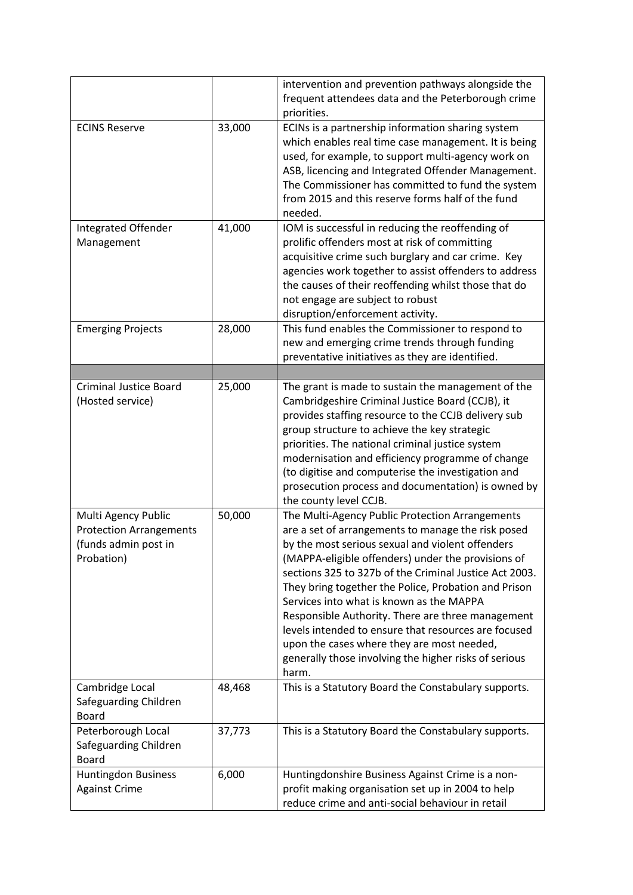|                                |        | intervention and prevention pathways alongside the     |
|--------------------------------|--------|--------------------------------------------------------|
|                                |        | frequent attendees data and the Peterborough crime     |
|                                |        | priorities.                                            |
| <b>ECINS Reserve</b>           | 33,000 | ECINs is a partnership information sharing system      |
|                                |        | which enables real time case management. It is being   |
|                                |        | used, for example, to support multi-agency work on     |
|                                |        |                                                        |
|                                |        | ASB, licencing and Integrated Offender Management.     |
|                                |        | The Commissioner has committed to fund the system      |
|                                |        | from 2015 and this reserve forms half of the fund      |
|                                |        | needed.                                                |
| Integrated Offender            | 41,000 | IOM is successful in reducing the reoffending of       |
| Management                     |        | prolific offenders most at risk of committing          |
|                                |        | acquisitive crime such burglary and car crime. Key     |
|                                |        | agencies work together to assist offenders to address  |
|                                |        | the causes of their reoffending whilst those that do   |
|                                |        | not engage are subject to robust                       |
|                                |        | disruption/enforcement activity.                       |
| <b>Emerging Projects</b>       | 28,000 | This fund enables the Commissioner to respond to       |
|                                |        | new and emerging crime trends through funding          |
|                                |        | preventative initiatives as they are identified.       |
|                                |        |                                                        |
| <b>Criminal Justice Board</b>  | 25,000 | The grant is made to sustain the management of the     |
| (Hosted service)               |        | Cambridgeshire Criminal Justice Board (CCJB), it       |
|                                |        | provides staffing resource to the CCJB delivery sub    |
|                                |        | group structure to achieve the key strategic           |
|                                |        | priorities. The national criminal justice system       |
|                                |        | modernisation and efficiency programme of change       |
|                                |        | (to digitise and computerise the investigation and     |
|                                |        | prosecution process and documentation) is owned by     |
|                                |        | the county level CCJB.                                 |
| Multi Agency Public            | 50,000 | The Multi-Agency Public Protection Arrangements        |
| <b>Protection Arrangements</b> |        | are a set of arrangements to manage the risk posed     |
| (funds admin post in           |        | by the most serious sexual and violent offenders       |
| Probation)                     |        | (MAPPA-eligible offenders) under the provisions of     |
|                                |        | sections 325 to 327b of the Criminal Justice Act 2003. |
|                                |        | They bring together the Police, Probation and Prison   |
|                                |        | Services into what is known as the MAPPA               |
|                                |        | Responsible Authority. There are three management      |
|                                |        | levels intended to ensure that resources are focused   |
|                                |        | upon the cases where they are most needed,             |
|                                |        | generally those involving the higher risks of serious  |
|                                |        | harm.                                                  |
|                                |        |                                                        |
| Cambridge Local                | 48,468 | This is a Statutory Board the Constabulary supports.   |
| Safeguarding Children          |        |                                                        |
| <b>Board</b>                   |        |                                                        |
| Peterborough Local             | 37,773 | This is a Statutory Board the Constabulary supports.   |
| Safeguarding Children          |        |                                                        |
| <b>Board</b>                   |        |                                                        |
| Huntingdon Business            | 6,000  | Huntingdonshire Business Against Crime is a non-       |
| <b>Against Crime</b>           |        | profit making organisation set up in 2004 to help      |
|                                |        | reduce crime and anti-social behaviour in retail       |